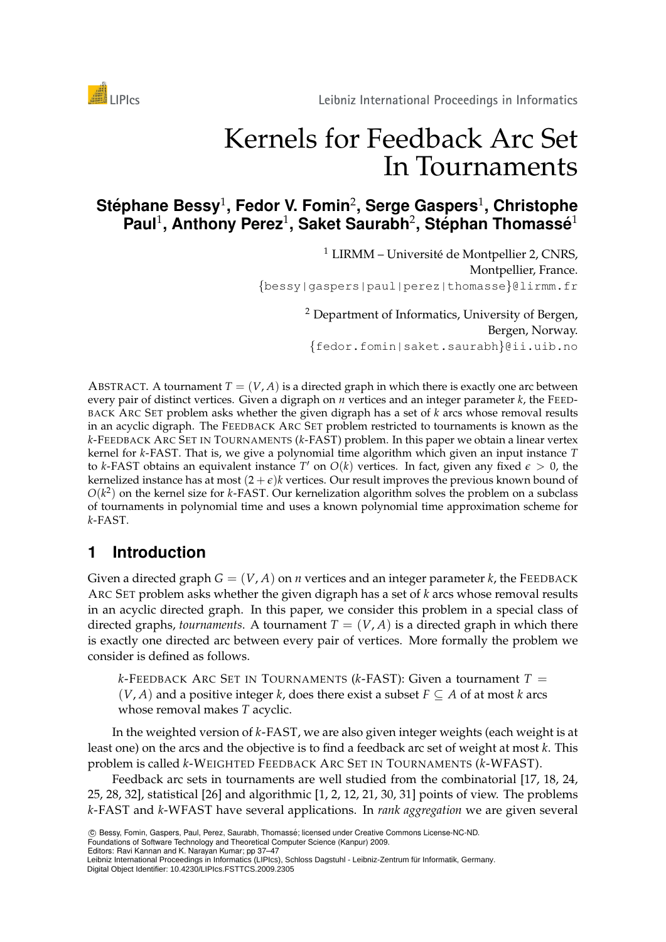

# Kernels for Feedback Arc Set In Tournaments

# $\mathsf{Stéphane \ Bessy^1},$  Fedor V. Fomin<sup>2</sup>, Serge Gaspers<sup>1</sup>, Christophe **Paul**<sup>1</sup> **, Anthony Perez**<sup>1</sup> **, Saket Saurabh**<sup>2</sup> **, Stephan Thomass ´ e´** 1

 $1$  LIRMM – Université de Montpellier 2, CNRS, Montpellier, France. {bessy|gaspers|paul|perez|thomasse}@lirmm.fr

> <sup>2</sup> Department of Informatics, University of Bergen, Bergen, Norway. {fedor.fomin|saket.saurabh}@ii.uib.no

ABSTRACT. A tournament  $T = (V, A)$  is a directed graph in which there is exactly one arc between every pair of distinct vertices. Given a digraph on *n* vertices and an integer parameter *k*, the FEED-BACK ARC SET problem asks whether the given digraph has a set of *k* arcs whose removal results in an acyclic digraph. The FEEDBACK ARC SET problem restricted to tournaments is known as the *k*-FEEDBACK ARC SET IN TOURNAMENTS (*k*-FAST) problem. In this paper we obtain a linear vertex kernel for *k*-FAST. That is, we give a polynomial time algorithm which given an input instance *T* to *k*-FAST obtains an equivalent instance  $T'$  on  $O(k)$  vertices. In fact, given any fixed  $\epsilon > 0$ , the kernelized instance has at most  $(2 + \epsilon)k$  vertices. Our result improves the previous known bound of  $O(k^2)$  on the kernel size for *k*-FAST. Our kernelization algorithm solves the problem on a subclass of tournaments in polynomial time and uses a known polynomial time approximation scheme for *k*-FAST.

# **1 Introduction**

Given a directed graph  $G = (V, A)$  on *n* vertices and an integer parameter *k*, the FEEDBACK ARC SET problem asks whether the given digraph has a set of *k* arcs whose removal results in an acyclic directed graph. In this paper, we consider this problem in a special class of directed graphs, *tournaments*. A tournament  $T = (V, A)$  is a directed graph in which there is exactly one directed arc between every pair of vertices. More formally the problem we consider is defined as follows.

 $k$ -FEEDBACK ARC SET IN TOURNAMENTS ( $k$ -FAST): Given a tournament  $T =$  $(V, A)$  and a positive integer *k*, does there exist a subset  $F \subseteq A$  of at most *k* arcs whose removal makes *T* acyclic.

In the weighted version of *k*-FAST, we are also given integer weights (each weight is at least one) on the arcs and the objective is to find a feedback arc set of weight at most *k*. This problem is called *k*-WEIGHTED FEEDBACK ARC SET IN TOURNAMENTS (*k*-WFAST).

Feedback arc sets in tournaments are well studied from the combinatorial [17, 18, 24, 25, 28, 32], statistical [26] and algorithmic [1, 2, 12, 21, 30, 31] points of view. The problems *k*-FAST and *k*-WFAST have several applications. In *rank aggregation* we are given several

Editors: Ravi Kannan and K. Narayan Kumar; pp 37–47

 $©$  Bessy, Fomin, Gaspers, Paul, Perez, Saurabh, Thomassé; licensed under Creative Commons License-NC-ND. Foundations of Software Technology and Theoretical Computer Science (Kanpur) 2009.

Leibniz International Proceedings in Informatics (LIPIcs), Schloss Dagstuhl - Leibniz-Zentrum für Informatik, Germany. Digital Object Identifier: 10.4230/LIPIcs.FSTTCS.2009.2305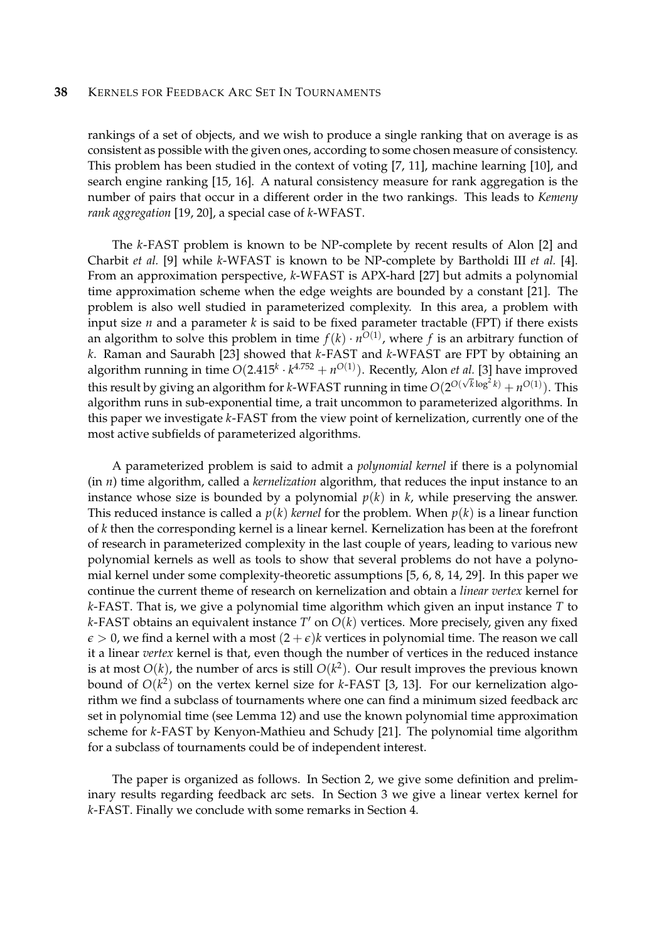rankings of a set of objects, and we wish to produce a single ranking that on average is as consistent as possible with the given ones, according to some chosen measure of consistency. This problem has been studied in the context of voting [7, 11], machine learning [10], and search engine ranking [15, 16]. A natural consistency measure for rank aggregation is the number of pairs that occur in a different order in the two rankings. This leads to *Kemeny rank aggregation* [19, 20], a special case of *k*-WFAST.

The *k*-FAST problem is known to be NP-complete by recent results of Alon [2] and Charbit *et al.* [9] while *k*-WFAST is known to be NP-complete by Bartholdi III *et al.* [4]. From an approximation perspective, *k*-WFAST is APX-hard [27] but admits a polynomial time approximation scheme when the edge weights are bounded by a constant [21]. The problem is also well studied in parameterized complexity. In this area, a problem with input size *n* and a parameter *k* is said to be fixed parameter tractable (FPT) if there exists an algorithm to solve this problem in time  $f(k) \cdot n^{O(1)}$ , where  $f$  is an arbitrary function of *k*. Raman and Saurabh [23] showed that *k*-FAST and *k*-WFAST are FPT by obtaining an algorithm running in time  $O(2.415^k \cdot k^{4.752} + n^{O(1)})$ . Recently, Alon *et al*. [3] have improved this result by giving an algorithm for *k*-WFAST running in time  $O(2^{O(\sqrt{k}\log^2 k)} + n^{O(1)})$ . This algorithm runs in sub-exponential time, a trait uncommon to parameterized algorithms. In this paper we investigate *k*-FAST from the view point of kernelization, currently one of the most active subfields of parameterized algorithms.

A parameterized problem is said to admit a *polynomial kernel* if there is a polynomial (in *n*) time algorithm, called a *kernelization* algorithm, that reduces the input instance to an instance whose size is bounded by a polynomial  $p(k)$  in  $k$ , while preserving the answer. This reduced instance is called a  $p(k)$  *kernel* for the problem. When  $p(k)$  is a linear function of *k* then the corresponding kernel is a linear kernel. Kernelization has been at the forefront of research in parameterized complexity in the last couple of years, leading to various new polynomial kernels as well as tools to show that several problems do not have a polynomial kernel under some complexity-theoretic assumptions [5, 6, 8, 14, 29]. In this paper we continue the current theme of research on kernelization and obtain a *linear vertex* kernel for *k*-FAST. That is, we give a polynomial time algorithm which given an input instance *T* to k-FAST obtains an equivalent instance T' on  $O(k)$  vertices. More precisely, given any fixed  $\epsilon > 0$ , we find a kernel with a most  $(2 + \epsilon)$ *k* vertices in polynomial time. The reason we call it a linear *vertex* kernel is that, even though the number of vertices in the reduced instance is at most *O*(*k*), the number of arcs is still *O*(*k* 2 ). Our result improves the previous known bound of *O*(*k* 2 ) on the vertex kernel size for *k*-FAST [3, 13]. For our kernelization algorithm we find a subclass of tournaments where one can find a minimum sized feedback arc set in polynomial time (see Lemma 12) and use the known polynomial time approximation scheme for *k*-FAST by Kenyon-Mathieu and Schudy [21]. The polynomial time algorithm for a subclass of tournaments could be of independent interest.

The paper is organized as follows. In Section 2, we give some definition and preliminary results regarding feedback arc sets. In Section 3 we give a linear vertex kernel for *k*-FAST. Finally we conclude with some remarks in Section 4.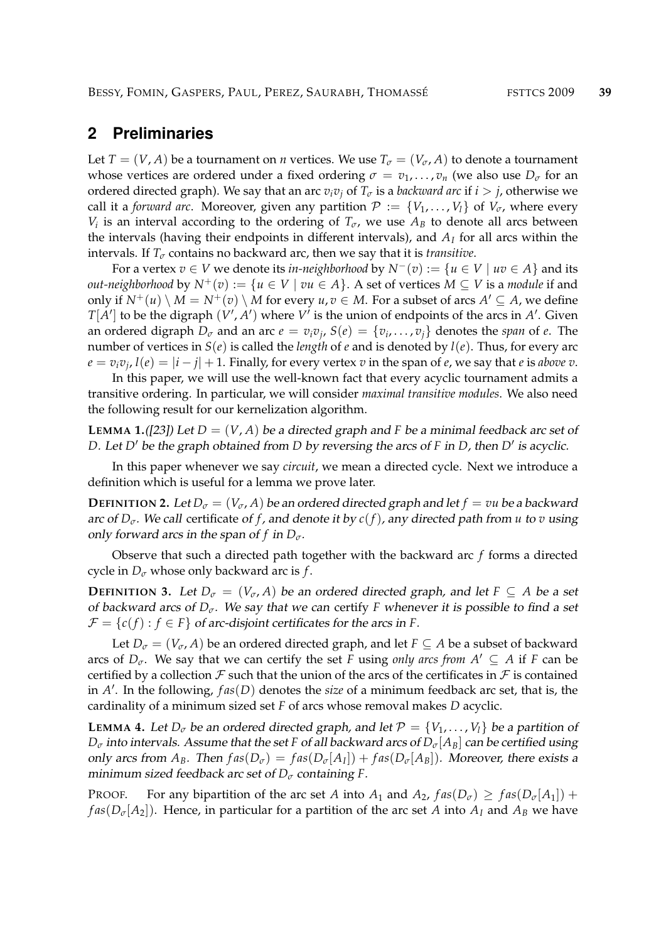## **2 Preliminaries**

Let *T* = (*V*, *A*) be a tournament on *n* vertices. We use  $T_{\sigma} = (V_{\sigma}, A)$  to denote a tournament whose vertices are ordered under a fixed ordering  $\sigma = v_1, \dots, v_n$  (we also use  $D_{\sigma}$  for an ordered directed graph). We say that an arc  $v_i v_j$  of  $T_\sigma$  is a *backward arc* if  $i > j$ , otherwise we call it a *forward arc*. Moreover, given any partition  $P := \{V_1, \ldots, V_l\}$  of  $V_{\sigma}$ , where every *V*<sup>*i*</sup> is an interval according to the ordering of  $T_{\sigma}$ , we use  $A_B$  to denote all arcs between the intervals (having their endpoints in different intervals), and *A<sup>I</sup>* for all arcs within the intervals. If  $T_{\sigma}$  contains no backward arc, then we say that it is *transitive*.

For a vertex *v* ∈ *V* we denote its *in-neighborhood* by  $N^-(v) := \{u \in V \mid uv \in A\}$  and its *out-neighborhood* by  $N^+(v) := \{u \in V \mid vu \in A\}$ . A set of vertices  $M \subseteq V$  is a *module* if and only if  $N^+(u) \setminus M = N^+(v) \setminus M$  for every  $u, v \in M$ . For a subset of arcs  $A' \subseteq A$ , we define  $T[A']$  to be the digraph  $(V', A')$  where  $V'$  is the union of endpoints of the arcs in  $A'$ . Given an ordered digraph  $D_{\sigma}$  and an arc  $e = v_i v_j$ ,  $S(e) = \{v_i, \ldots, v_j\}$  denotes the *span* of  $e$ . The number of vertices in  $S(e)$  is called the *length* of *e* and is denoted by  $l(e)$ . Thus, for every arc  $e = v_i v_j$ ,  $l(e) = |i - j| + 1$ . Finally, for every vertex  $v$  in the span of  $e$ , we say that  $e$  is *above*  $v$ .

In this paper, we will use the well-known fact that every acyclic tournament admits a transitive ordering. In particular, we will consider *maximal transitive modules*. We also need the following result for our kernelization algorithm.

**LEMMA 1.**([23]) Let  $D = (V, A)$  be a directed graph and *F* be a minimal feedback arc set of *D*. Let *D'* be the graph obtained from *D* by reversing the arcs of *F* in *D*, then *D'* is acyclic.

In this paper whenever we say *circuit*, we mean a directed cycle. Next we introduce a definition which is useful for a lemma we prove later.

**DEFINITION 2.** Let  $D_{\sigma} = (V_{\sigma}, A)$  be an ordered directed graph and let  $f = vu$  be a backward arc of *Dσ*. We call certificate of *f* , and denote it by *c*(*f*), any directed path from *u* to *v* using only forward arcs in the span of  $f$  in  $D_{\sigma}$ .

Observe that such a directed path together with the backward arc *f* forms a directed cycle in  $D_{\sigma}$  whose only backward arc is *f*.

**DEFINITION** 3. Let  $D_{\sigma} = (V_{\sigma}, A)$  be an ordered directed graph, and let  $F \subseteq A$  be a set of backward arcs of  $D_{\sigma}$ . We say that we can certify *F* whenever it is possible to find a set  $\mathcal{F} = \{c(f) : f \in F\}$  of arc-disjoint certificates for the arcs in *F*.

Let  $D_{\sigma} = (V_{\sigma}, A)$  be an ordered directed graph, and let  $F \subseteq A$  be a subset of backward arcs of  $D_{\sigma}$ . We say that we can certify the set *F* using *only arcs from*  $A' \subseteq A$  if *F* can be certified by a collection  $\mathcal F$  such that the union of the arcs of the certificates in  $\mathcal F$  is contained in *A* 0 . In the following, *f as*(*D*) denotes the *size* of a minimum feedback arc set, that is, the cardinality of a minimum sized set *F* of arcs whose removal makes *D* acyclic.

**LEMMA** 4. Let  $D_{\sigma}$  be an ordered directed graph, and let  $P = \{V_1, \ldots, V_l\}$  be a partition of  $D_{\sigma}$  into intervals. Assume that the set *F* of all backward arcs of  $D_{\sigma}[A_{B}]$  can be certified using only arcs from  $A_B$ . Then  $fas(D_{\sigma}) = fas(D_{\sigma}[A_I]) + fas(D_{\sigma}[A_B])$ . Moreover, there exists a minimum sized feedback arc set of *D<sup>σ</sup>* containing *F*.

PROOF. For any bipartition of the arc set *A* into  $A_1$  and  $A_2$ ,  $fas(D_\sigma) \geq fas(D_\sigma[A_1])$  + *fas*( $D_{\sigma}[A_2]$ ). Hence, in particular for a partition of the arc set *A* into  $A_I$  and  $A_B$  we have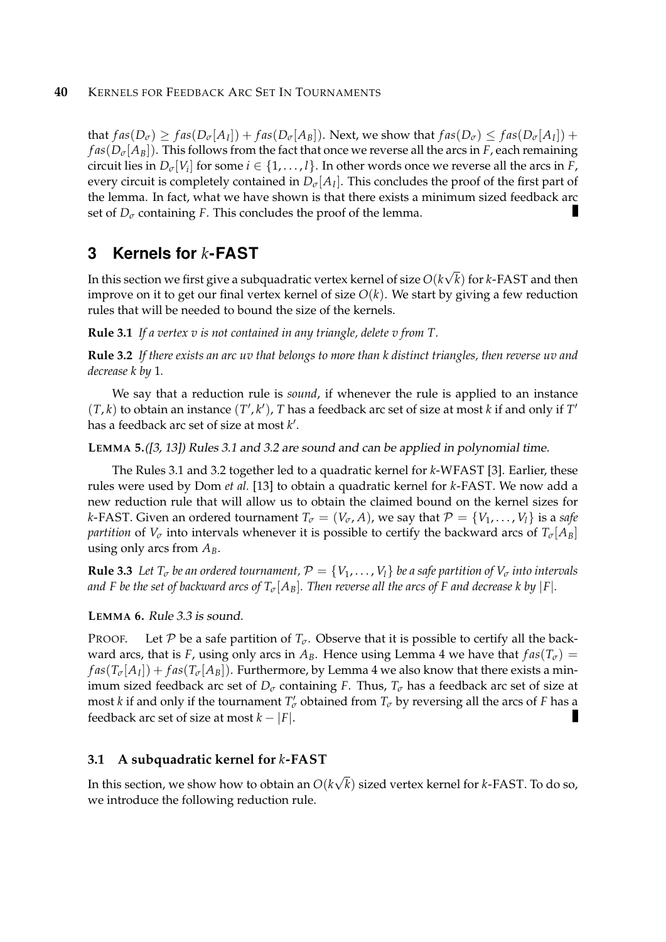that  $fas(D_{\sigma}) \geq fas(D_{\sigma}[A_{I}])+fas(D_{\sigma}[A_{B}]).$  Next, we show that  $fas(D_{\sigma}) \leq fas(D_{\sigma}[A_{I}])+$  $fas(D_{\sigma}/A_B)$ . This follows from the fact that once we reverse all the arcs in *F*, each remaining circuit lies in  $D_{\sigma}[V_i]$  for some  $i \in \{1, \ldots, l\}$ . In other words once we reverse all the arcs in *F*, every circuit is completely contained in  $D_{\sigma}[A_I]$ . This concludes the proof of the first part of the lemma. In fact, what we have shown is that there exists a minimum sized feedback arc set of  $D_{\sigma}$  containing *F*. This concludes the proof of the lemma.

## **3 Kernels for** *k***-FAST**

In this section we first give a subquadratic vertex kernel of size *O*(*k* √ *k*) for *k*-FAST and then improve on it to get our final vertex kernel of size  $O(k)$ . We start by giving a few reduction rules that will be needed to bound the size of the kernels.

**Rule 3.1** *If a vertex v is not contained in any triangle, delete v from T.*

**Rule 3.2** *If there exists an arc uv that belongs to more than k distinct triangles, then reverse uv and decrease k by* 1*.*

We say that a reduction rule is *sound*, if whenever the rule is applied to an instance  $(T, k)$  to obtain an instance  $(T', k')$ , *T* has a feedback arc set of size at most *k* if and only if  $T'$ has a feedback arc set of size at most *k'*.

**LEMMA 5.**([3, 13]) Rules 3.1 and 3.2 are sound and can be applied in polynomial time.

The Rules 3.1 and 3.2 together led to a quadratic kernel for *k*-WFAST [3]. Earlier, these rules were used by Dom *et al.* [13] to obtain a quadratic kernel for *k*-FAST. We now add a new reduction rule that will allow us to obtain the claimed bound on the kernel sizes for *k*-FAST. Given an ordered tournament  $T_{\sigma} = (V_{\sigma}, A)$ , we say that  $P = \{V_1, \ldots, V_l\}$  is a *safe partition* of  $V_{\sigma}$  into intervals whenever it is possible to certify the backward arcs of  $T_{\sigma}[A_B]$ using only arcs from *AB*.

**Rule 3.3** *Let*  $T_{\sigma}$  *be an ordered tournament,*  $P = \{V_1, \ldots, V_l\}$  *be a safe partition of*  $V_{\sigma}$  *into intervals and F be the set of backward arcs of*  $T_{\sigma}[A_{B}]$ *. Then reverse all the arcs of F and decrease k by* |*F*|*.* 

### **LEMMA 6.** Rule 3.3 is sound.

PROOF. Let P be a safe partition of  $T_{\sigma}$ . Observe that it is possible to certify all the backward arcs, that is *F*, using only arcs in  $A_B$ . Hence using Lemma 4 we have that  $fas(T_\sigma)$  =  $fas(T_{\sigma}[A_I]) + fas(T_{\sigma}[A_B])$ . Furthermore, by Lemma 4 we also know that there exists a minimum sized feedback arc set of  $D_{\sigma}$  containing *F*. Thus,  $T_{\sigma}$  has a feedback arc set of size at most *k* if and only if the tournament  $T'_{\sigma}$  obtained from  $T_{\sigma}$  by reversing all the arcs of *F* has a feedback arc set of size at most  $k - |F|$ .

### **3.1 A subquadratic kernel for** *k***-FAST**

In this section, we show how to obtain an *O*(*k* √ *k*) sized vertex kernel for *k*-FAST. To do so, we introduce the following reduction rule.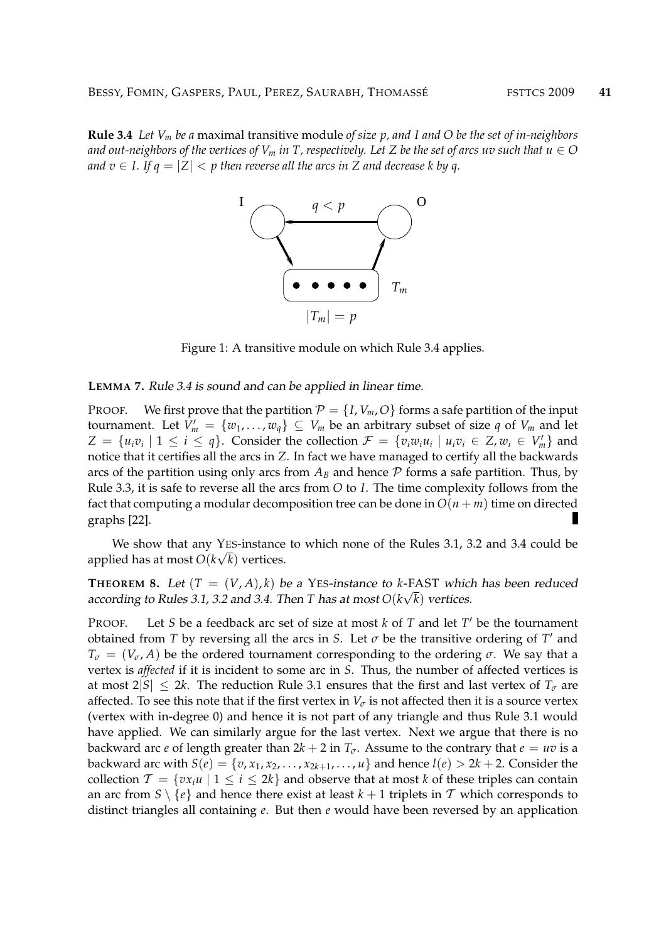**Rule 3.4** *Let V<sup>m</sup> be a* maximal transitive module *of size p, and I and O be the set of in-neighbors and out-neighbors of the vertices of*  $V_m$  *in T, respectively. Let Z be the set of arcs uv such that*  $u \in O$ *and*  $v \in I$ . If  $q = |Z| < p$  then reverse all the arcs in Z and decrease k by q.



Figure 1: A transitive module on which Rule 3.4 applies.

**LEMMA 7.** Rule 3.4 is sound and can be applied in linear time.

PROOF. We first prove that the partition  $P = \{I, V_m, O\}$  forms a safe partition of the input tournament. Let  $V'_m = \{w_1, \ldots, w_q\} \subseteq V_m$  be an arbitrary subset of size  $q$  of  $V_m$  and let  $Z = \{u_i v_i \mid 1 \le i \le q\}$ . Consider the collection  $\mathcal{F} = \{v_i w_i u_i \mid u_i v_i \in Z, w_i \in V'_m\}$  and notice that it certifies all the arcs in *Z*. In fact we have managed to certify all the backwards arcs of the partition using only arcs from  $A_B$  and hence  $P$  forms a safe partition. Thus, by Rule 3.3, it is safe to reverse all the arcs from *O* to *I*. The time complexity follows from the fact that computing a modular decomposition tree can be done in  $O(n + m)$  time on directed graphs [22].

We show that any YES-instance to which none of the Rules 3.1, 3.2 and 3.4 could be applied has at most  $O(k\sqrt{k})$  vertices.

**THEOREM 8.** Let  $(T = (V, A), k)$  be a YES-instance to k-FAST which has been reduced according to Rules 3.1, 3.2 and 3.4. Then T has at most  $O(k\sqrt{k})$  vertices.

PROOF. Let *S* be a feedback arc set of size at most  $k$  of  $T$  and let  $T'$  be the tournament obtained from *T* by reversing all the arcs in *S*. Let  $\sigma$  be the transitive ordering of *T'* and  $T_{\sigma} = (V_{\sigma}, A)$  be the ordered tournament corresponding to the ordering  $\sigma$ . We say that a vertex is *affected* if it is incident to some arc in *S*. Thus, the number of affected vertices is at most  $2|S| \leq 2k$ . The reduction Rule 3.1 ensures that the first and last vertex of  $T_{\sigma}$  are affected. To see this note that if the first vertex in  $V_{\sigma}$  is not affected then it is a source vertex (vertex with in-degree 0) and hence it is not part of any triangle and thus Rule 3.1 would have applied. We can similarly argue for the last vertex. Next we argue that there is no backward arc *e* of length greater than  $2k + 2$  in  $T_{\sigma}$ . Assume to the contrary that  $e = uv$  is a backward arc with  $S(e) = \{v, x_1, x_2, \ldots, x_{2k+1}, \ldots, u\}$  and hence  $l(e) > 2k + 2$ . Consider the collection  $\mathcal{T} = \{vx_iu \mid 1 \leq i \leq 2k\}$  and observe that at most *k* of these triples can contain an arc from  $S \setminus \{e\}$  and hence there exist at least  $k + 1$  triplets in T which corresponds to distinct triangles all containing *e*. But then *e* would have been reversed by an application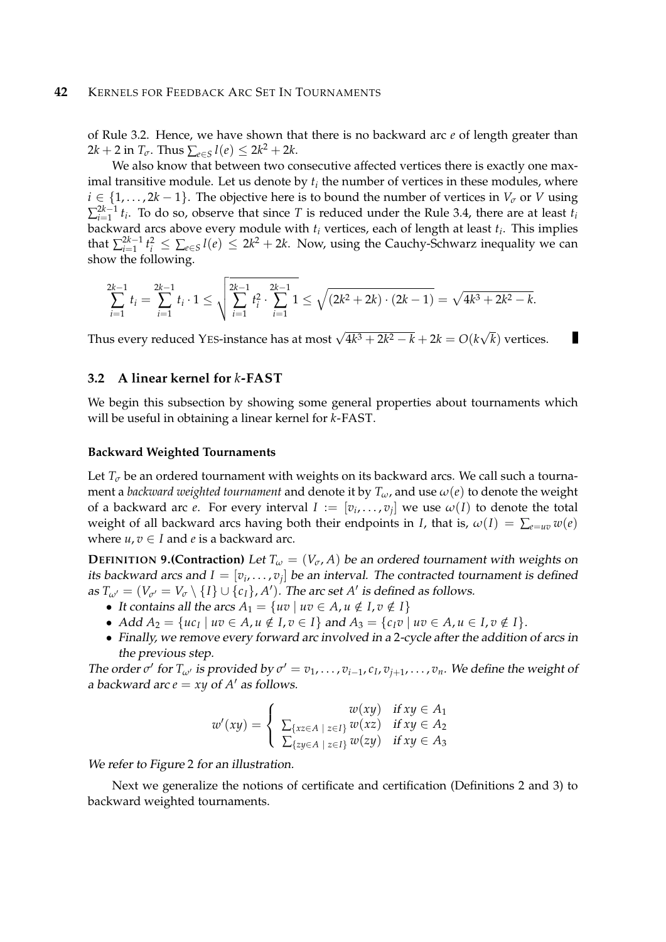## **42** KERNELS FOR FEEDBACK ARC SET IN TOURNAMENTS

of Rule 3.2. Hence, we have shown that there is no backward arc *e* of length greater than  $2k + 2$  in  $T_{\sigma}$ . Thus  $\sum_{e \in S} l(e) \leq 2k^2 + 2k$ .

We also know that between two consecutive affected vertices there is exactly one maximal transitive module. Let us denote by  $t_i$  the number of vertices in these modules, where  $i \in \{1, \ldots, 2k - 1\}$ . The objective here is to bound the number of vertices in  $V_{\sigma}$  or *V* using  $\sum_{i=1}^{2k-1}$  $\frac{2K-1}{K-1}$  *t*<sub>*i*</sub>. To do so, observe that since *T* is reduced under the Rule 3.4, there are at least *t*<sub>*i*</sub> backward arcs above every module with *t<sup>i</sup>* vertices, each of length at least *t<sup>i</sup>* . This implies that  $\sum_{i=1}^{2k-1}$  $\frac{2k-1}{k_i}$  *t*<sup>2</sup> ≤  $\sum_{e \in S} l(e)$  ≤ 2 $k^2 + 2k$ . Now, using the Cauchy-Schwarz inequality we can show the following.

$$
\sum_{i=1}^{2k-1} t_i = \sum_{i=1}^{2k-1} t_i \cdot 1 \le \sqrt{\sum_{i=1}^{2k-1} t_i^2 \cdot \sum_{i=1}^{2k-1} 1} \le \sqrt{(2k^2 + 2k) \cdot (2k - 1)} = \sqrt{4k^3 + 2k^2 - k}.
$$

Thus every reduced YES-instance has at most  $\sqrt{4k^3 + 2k^2 - k} + 2k = O(k)$ √ *k*) vertices.

П

#### **3.2 A linear kernel for** *k***-FAST**

We begin this subsection by showing some general properties about tournaments which will be useful in obtaining a linear kernel for *k*-FAST.

#### **Backward Weighted Tournaments**

Let  $T_{\sigma}$  be an ordered tournament with weights on its backward arcs. We call such a tournament a *backward weighted tournament* and denote it by  $T_{\omega}$ , and use  $\omega(e)$  to denote the weight of a backward arc *e*. For every interval  $I := [v_i, \ldots, v_j]$  we use  $\omega(I)$  to denote the total weight of all backward arcs having both their endpoints in *I*, that is,  $\omega(I) = \sum_{e=uv} w(e)$ where  $u, v \in I$  and *e* is a backward arc.

**DEFINITION** 9.(Contraction) Let  $T_\omega = (V_\sigma, A)$  be an ordered tournament with weights on its backward arcs and  $I=[v_i,\ldots,v_j]$  be an interval. The contracted tournament is defined as  $T_{\omega'} = (V_{\sigma'} = V_{\sigma} \setminus \{I\} \cup \{c_I\}, A')$ . The arc set  $A'$  is defined as follows.

- It contains all the arcs  $A_1 = \{uv \mid uv \in A, u \notin I, v \notin I\}$
- $Add A_2 = {u c_I | u v \in A, u \notin I, v \in I} and A_3 = {c_I v | u v \in A, u \in I, v \notin I}.$
- Finally, we remove every forward arc involved in a 2-cycle after the addition of arcs in the previous step.

The order  $\sigma'$  for  $T_{\omega'}$  is provided by  $\sigma' = v_1, \ldots, v_{i-1}, c_1, v_{j+1}, \ldots, v_n$ . We define the weight of a backward arc  $e = xy$  of  $A'$  as follows.

$$
w'(xy) = \begin{cases} w(xy) & \text{if } xy \in A_1 \\ \sum_{\{xz \in A \mid z \in I\}} w(xz) & \text{if } xy \in A_2 \\ \sum_{\{zy \in A \mid z \in I\}} w(zy) & \text{if } xy \in A_3 \end{cases}
$$

We refer to Figure 2 for an illustration.

Next we generalize the notions of certificate and certification (Definitions 2 and 3) to backward weighted tournaments.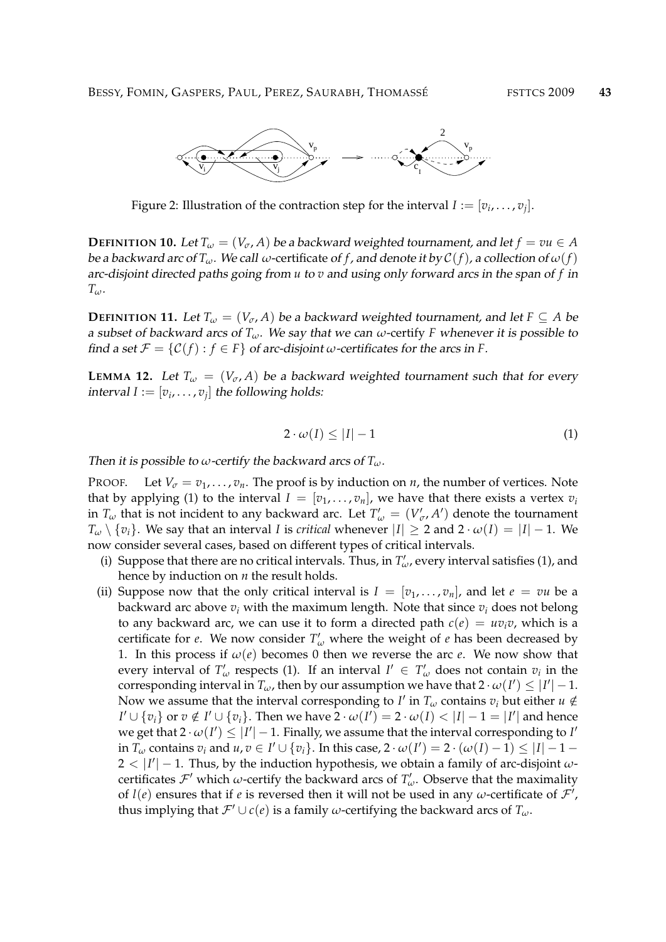

Figure 2: Illustration of the contraction step for the interval  $I:=[v_i,\ldots,v_j].$ 

**DEFINITION 10.** Let  $T_\omega = (V_\sigma, A)$  be a backward weighted tournament, and let  $f = vu \in A$ be a backward arc of  $T_\omega$ . We call  $\omega$ -certificate of f, and denote it by  $C(f)$ , a collection of  $\omega(f)$ arc-disjoint directed paths going from *u* to *v* and using only forward arcs in the span of *f* in *Tω*.

**DEFINITION 11.** Let  $T_{\omega} = (V_{\sigma}, A)$  be a backward weighted tournament, and let  $F \subseteq A$  be a subset of backward arcs of *Tω*. We say that we can *ω*-certify *F* whenever it is possible to find a set  $\mathcal{F} = \{ \mathcal{C}(f) : f \in F \}$  of arc-disjoint *ω*-certificates for the arcs in *F*.

**LEMMA 12.** Let  $T_\omega = (V_\sigma, A)$  be a backward weighted tournament such that for every  $\text{interval } I := [v_i, \dots, v_j] \text{ the following holds:}$ 

$$
2 \cdot \omega(I) \le |I| - 1 \tag{1}
$$

Then it is possible to  $\omega$ -certify the backward arcs of  $T_{\omega}$ .

PROOF. Let  $V_{\sigma} = v_1, \dots, v_n$ . The proof is by induction on *n*, the number of vertices. Note that by applying (1) to the interval  $I = [v_1, \ldots, v_n]$ , we have that there exists a vertex  $v_i$ in  $T_{\omega}$  that is not incident to any backward arc. Let  $T'_{\omega} = (V'_{\sigma}, A')$  denote the tournament *T*<sup>ω</sup> \ {*v*<sup>*i*</sup>}. We say that an interval *I* is *critical* whenever  $|I|$  ≥ 2 and 2 ·  $ω(I) = |I| - 1$ . We now consider several cases, based on different types of critical intervals.

- (i) Suppose that there are no critical intervals. Thus, in  $T'_{\omega}$ , every interval satisfies (1), and hence by induction on *n* the result holds.
- (ii) Suppose now that the only critical interval is  $I = [v_1, \ldots, v_n]$ , and let  $e = vu$  be a backward arc above  $v_i$  with the maximum length. Note that since  $v_i$  does not belong to any backward arc, we can use it to form a directed path  $c(e) = uv_i v$ , which is a certificate for *e*. We now consider  $T'_\n\omega$  where the weight of *e* has been decreased by 1. In this process if  $\omega(e)$  becomes 0 then we reverse the arc *e*. We now show that every interval of  $T'_\n\omega$  respects (1). If an interval  $I' \in T'_\n\omega$  does not contain  $v_i$  in the corresponding interval in  $T_\omega$ , then by our assumption we have that  $2 \cdot \omega(I') \leq |I'| - 1$ . Now we assume that the interval corresponding to *I'* in  $T_\omega$  contains  $v_i$  but either  $u \notin$  $I' \cup \{v_i\}$  or  $v \notin I' \cup \{v_i\}$ . Then we have  $2 \cdot \omega(I') = 2 \cdot \omega(I) < |I| - 1 = |I'|$  and hence we get that  $2 \cdot \omega(I') \leq |I'| - 1$ . Finally, we assume that the interval corresponding to *I*<sup>*'*</sup> in  $T_\omega$  contains  $v_i$  and  $u, v \in I' \cup \{v_i\}$ . In this case,  $2 \cdot \omega(I') = 2 \cdot (\omega(I) - 1) \leq |I| - 1 - 1$  $2 < |I'| - 1$ . Thus, by the induction hypothesis, we obtain a family of arc-disjoint  $\omega$ certificates  $\mathcal{F}'$  which *w*-certify the backward arcs of  $T'_\n\omega$ . Observe that the maximality of  $l(e)$  ensures that if *e* is reversed then it will not be used in any *ω*-certificate of  $\mathcal{F}'$ , thus implying that  $\mathcal{F}' \cup c(e)$  is a family *ω*-certifying the backward arcs of  $T_\omega$ .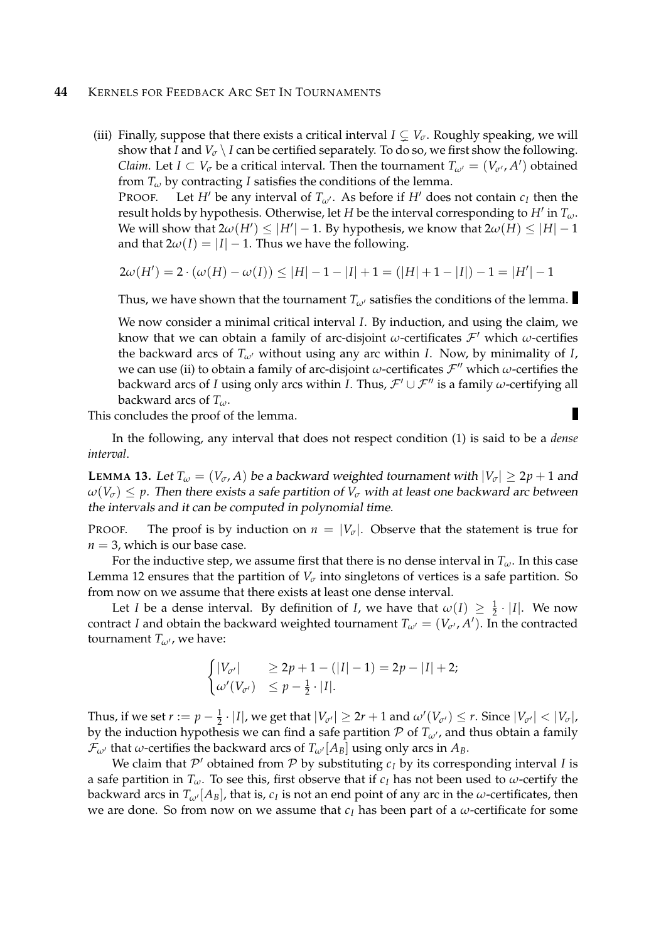#### **44** KERNELS FOR FEEDBACK ARC SET IN TOURNAMENTS

(iii) Finally, suppose that there exists a critical interval  $I \subsetneq V_{\sigma}$ . Roughly speaking, we will show that *I* and  $V_\sigma \setminus I$  can be certified separately. To do so, we first show the following. *Claim.* Let  $I \subset V_{\sigma}$  be a critical interval. Then the tournament  $T_{\omega'} = (V_{\sigma'}, A')$  obtained from  $T_\omega$  by contracting *I* satisfies the conditions of the lemma.

PROOF. Let *H'* be any interval of  $T_{\omega}$ . As before if *H'* does not contain  $c_I$  then the result holds by hypothesis. Otherwise, let *H* be the interval corresponding to *H'* in  $T_{\omega}$ . We will show that  $2\omega(H') \leq |H'| - 1$ . By hypothesis, we know that  $2\omega(H) \leq |H| - 1$ and that  $2\omega(I) = |I| - 1$ . Thus we have the following.

$$
2\omega(H') = 2 \cdot (\omega(H) - \omega(I)) \le |H| - 1 - |I| + 1 = (|H| + 1 - |I|) - 1 = |H'| - 1
$$

Thus, we have shown that the tournament  $T_{\omega}$  satisfies the conditions of the lemma.

We now consider a minimal critical interval *I*. By induction, and using the claim, we know that we can obtain a family of arc-disjoint  $\omega$ -certificates  $\mathcal{F}'$  which  $\omega$ -certifies the backward arcs of  $T_{\omega}$ <sup>*i*</sup> without using any arc within *I*. Now, by minimality of *I*, we can use (ii) to obtain a family of arc-disjoint  $\omega$ -certificates  $\mathcal{F}$ <sup>*''*</sup> which  $\omega$ -certifies the backward arcs of *I* using only arcs within *I*. Thus,  $\mathcal{F}' \cup \mathcal{F}''$  is a family *ω*-certifying all backward arcs of *Tω*.

This concludes the proof of the lemma.

In the following, any interval that does not respect condition (1) is said to be a *dense interval*.

**LEMMA** 13. Let  $T_\omega = (V_\sigma, A)$  be a backward weighted tournament with  $|V_\sigma| \geq 2p + 1$  and  $\omega(V_{\sigma}) \leq p$ . Then there exists a safe partition of  $V_{\sigma}$  with at least one backward arc between the intervals and it can be computed in polynomial time.

**PROOF.** The proof is by induction on  $n = |V_\sigma|$ . Observe that the statement is true for  $n = 3$ , which is our base case.

For the inductive step, we assume first that there is no dense interval in  $T_\omega$ . In this case Lemma 12 ensures that the partition of  $V_{\sigma}$  into singletons of vertices is a safe partition. So from now on we assume that there exists at least one dense interval.

Let *I* be a dense interval. By definition of *I*, we have that  $\omega(I) \geq \frac{1}{2} \cdot |I|$ . We now contract *I* and obtain the backward weighted tournament  $T_{\omega'} = (V_{\sigma'}, A')$ . In the contracted tournament  $T_{\omega}$ , we have:

$$
\begin{cases} |V_{\sigma'}| & \geq 2p+1-(|I|-1) = 2p-|I|+2; \\ \omega'(V_{\sigma'}) & \leq p-\frac{1}{2} \cdot |I|. \end{cases}
$$

Thus, if we set  $r := p - \frac{1}{2} \cdot |I|$ , we get that  $|V_{\sigma'}| \geq 2r + 1$  and  $\omega'(V_{\sigma'}) \leq r$ . Since  $|V_{\sigma'}| < |V_{\sigma}|$ , by the induction hypothesis we can find a safe partition  $P$  of  $T_{\omega}$ , and thus obtain a family  $\mathcal{F}_{\omega'}$  that  $\omega$ -certifies the backward arcs of  $T_{\omega'}[A_B]$  using only arcs in  $A_B$ .

We claim that  $\mathcal{P}'$  obtained from  $\mathcal P$  by substituting  $c_I$  by its corresponding interval *I* is a safe partition in  $T_\omega$ . To see this, first observe that if  $c_I$  has not been used to  $\omega$ -certify the backward arcs in  $T_{\omega'}[A_B]$ , that is,  $c_I$  is not an end point of any arc in the  $\omega$ -certificates, then we are done. So from now on we assume that *c<sup>I</sup>* has been part of a *ω*-certificate for some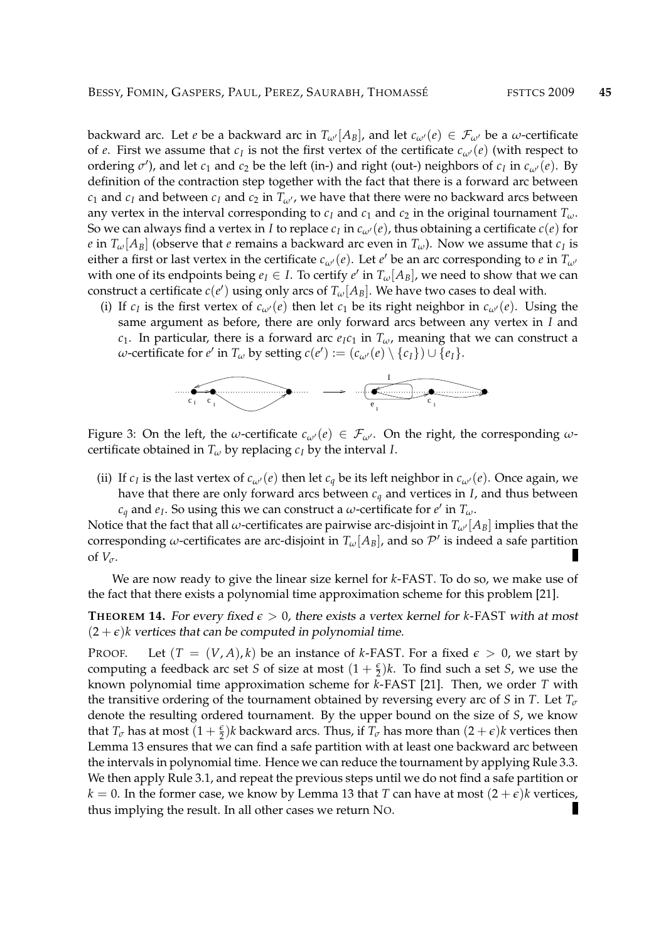backward arc. Let *e* be a backward arc in  $T_{\omega'}[A_B]$ , and let  $c_{\omega'}(e) \in \mathcal{F}_{\omega'}$  be a  $\omega$ -certificate of *e*. First we assume that  $c_I$  is not the first vertex of the certificate  $c_{\omega'}(e)$  (with respect to ordering  $\sigma'$ ), and let  $c_1$  and  $c_2$  be the left (in-) and right (out-) neighbors of  $c_I$  in  $c_{\omega'}(e)$ . By definition of the contraction step together with the fact that there is a forward arc between *c*<sub>1</sub> and *c*<sub>*I*</sub> and between *c*<sub>*I*</sub> and *c*<sub>2</sub> in  $T_{\omega}$ , we have that there were no backward arcs between any vertex in the interval corresponding to  $c_I$  and  $c_1$  and  $c_2$  in the original tournament  $T_\omega$ . So we can always find a vertex in *I* to replace  $c_I$  in  $c_{\omega'}(e)$ , thus obtaining a certificate  $c(e)$  for *e* in  $T_\omega[A_B]$  (observe that *e* remains a backward arc even in  $T_\omega$ ). Now we assume that  $c_I$  is either a first or last vertex in the certificate  $c_{\omega}(e)$ . Let  $e'$  be an arc corresponding to  $e$  in  $T_{\omega'}$ with one of its endpoints being  $e_I \in I$ . To certify  $e'$  in  $T_\omega[A_B]$ , we need to show that we can construct a certificate  $c(e')$  using only arcs of  $T_\omega[A_B].$  We have two cases to deal with.

(i) If  $c_I$  is the first vertex of  $c_{\omega}(e)$  then let  $c_1$  be its right neighbor in  $c_{\omega}(e)$ . Using the same argument as before, there are only forward arcs between any vertex in *I* and *c*<sub>1</sub>. In particular, there is a forward arc  $e_Ic_I$  in  $T_\omega$ , meaning that we can construct a  $\omega$ -certificate for  $e'$  in  $T_\omega$  by setting  $c(e') := (c_{\omega'}(e) \setminus \{c_I\}) \cup \{e_I\}.$ 



Figure 3: On the left, the *ω*-certificate  $c_{\omega}(e) \in \mathcal{F}_{\omega}$ . On the right, the corresponding  $\omega$ certificate obtained in  $T_\omega$  by replacing  $c_I$  by the interval *I*.

(ii) If  $c_I$  is the last vertex of  $c_{\omega}(e)$  then let  $c_q$  be its left neighbor in  $c_{\omega}(e)$ . Once again, we have that there are only forward arcs between *c<sup>q</sup>* and vertices in *I*, and thus between  $c_q$  and  $e_I$ . So using this we can construct a *ω*-certificate for  $e'$  in  $T_\omega$ .

Notice that the fact that all *ω*-certificates are pairwise arc-disjoint in  $T_{\omega'}[A_B]$  implies that the corresponding *ω*-certificates are arc-disjoint in  $T_\omega[A_B]$ , and so  $\mathcal{P}'$  is indeed a safe partition П of  $V_\sigma$ .

We are now ready to give the linear size kernel for *k*-FAST. To do so, we make use of the fact that there exists a polynomial time approximation scheme for this problem [21].

**THEOREM 14.** For every fixed  $\epsilon > 0$ , there exists a vertex kernel for *k*-FAST with at most  $(2 + \epsilon)$ *k* vertices that can be computed in polynomial time.

PROOF. Let  $(T = (V, A), k)$  be an instance of *k*-FAST. For a fixed  $\epsilon > 0$ , we start by computing a feedback arc set *S* of size at most  $(1 + \frac{\epsilon}{2})k$ . To find such a set *S*, we use the known polynomial time approximation scheme for *k*-FAST [21]. Then, we order *T* with the transitive ordering of the tournament obtained by reversing every arc of *S* in *T*. Let  $T_{\sigma}$ denote the resulting ordered tournament. By the upper bound on the size of *S*, we know that  $T_\sigma$  has at most  $(1+\frac{\epsilon}{2})k$  backward arcs. Thus, if  $T_\sigma$  has more than  $(2+\epsilon)k$  vertices then Lemma 13 ensures that we can find a safe partition with at least one backward arc between the intervals in polynomial time. Hence we can reduce the tournament by applying Rule 3.3. We then apply Rule 3.1, and repeat the previous steps until we do not find a safe partition or  $k = 0$ . In the former case, we know by Lemma 13 that *T* can have at most  $(2 + \epsilon)k$  vertices, thus implying the result. In all other cases we return NO.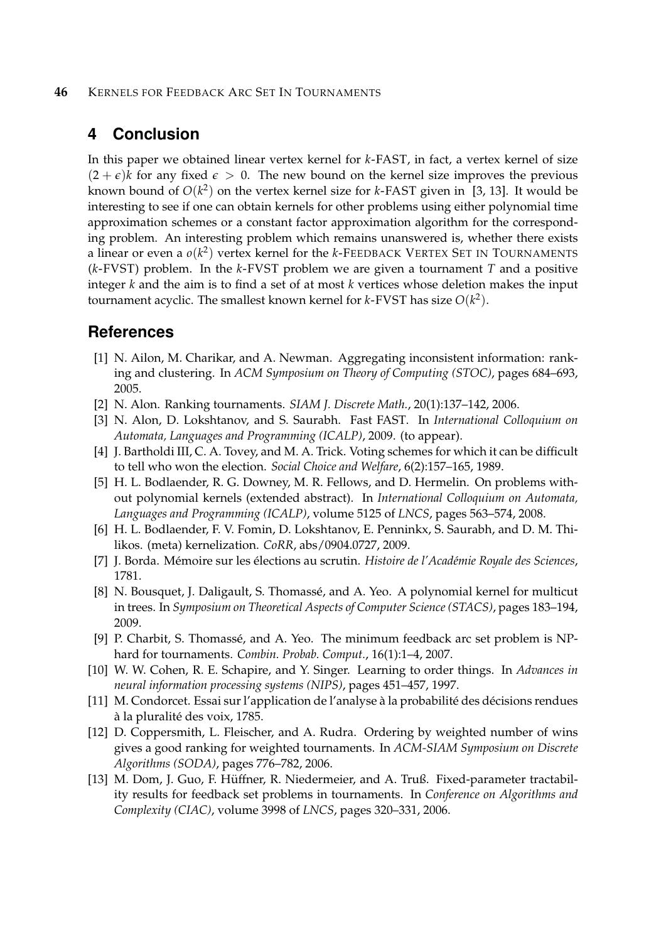#### **46** KERNELS FOR FEEDBACK ARC SET IN TOURNAMENTS

## **4 Conclusion**

In this paper we obtained linear vertex kernel for *k*-FAST, in fact, a vertex kernel of size  $(2 + \epsilon)$ *k* for any fixed  $\epsilon > 0$ . The new bound on the kernel size improves the previous known bound of  $O(k^2)$  on the vertex kernel size for *k*-FAST given in [3, 13]. It would be interesting to see if one can obtain kernels for other problems using either polynomial time approximation schemes or a constant factor approximation algorithm for the corresponding problem. An interesting problem which remains unanswered is, whether there exists a linear or even a *o*(*k* 2 ) vertex kernel for the *k*-FEEDBACK VERTEX SET IN TOURNAMENTS (*k*-FVST) problem. In the *k*-FVST problem we are given a tournament *T* and a positive integer *k* and the aim is to find a set of at most *k* vertices whose deletion makes the input tournament acyclic. The smallest known kernel for *k*-FVST has size *O*(*k* 2 ).

## **References**

- [1] N. Ailon, M. Charikar, and A. Newman. Aggregating inconsistent information: ranking and clustering. In *ACM Symposium on Theory of Computing (STOC)*, pages 684–693, 2005.
- [2] N. Alon. Ranking tournaments. *SIAM J. Discrete Math.*, 20(1):137–142, 2006.
- [3] N. Alon, D. Lokshtanov, and S. Saurabh. Fast FAST. In *International Colloquium on Automata, Languages and Programming (ICALP)*, 2009. (to appear).
- [4] J. Bartholdi III, C. A. Tovey, and M. A. Trick. Voting schemes for which it can be difficult to tell who won the election. *Social Choice and Welfare*, 6(2):157–165, 1989.
- [5] H. L. Bodlaender, R. G. Downey, M. R. Fellows, and D. Hermelin. On problems without polynomial kernels (extended abstract). In *International Colloquium on Automata, Languages and Programming (ICALP)*, volume 5125 of *LNCS*, pages 563–574, 2008.
- [6] H. L. Bodlaender, F. V. Fomin, D. Lokshtanov, E. Penninkx, S. Saurabh, and D. M. Thilikos. (meta) kernelization. *CoRR*, abs/0904.0727, 2009.
- [7] J. Borda. Mémoire sur les élections au scrutin. *Histoire de l'Académie Royale des Sciences*, 1781.
- [8] N. Bousquet, J. Daligault, S. Thomassé, and A. Yeo. A polynomial kernel for multicut in trees. In *Symposium on Theoretical Aspects of Computer Science (STACS)*, pages 183–194, 2009.
- [9] P. Charbit, S. Thomassé, and A. Yeo. The minimum feedback arc set problem is NPhard for tournaments. *Combin. Probab. Comput.*, 16(1):1–4, 2007.
- [10] W. W. Cohen, R. E. Schapire, and Y. Singer. Learning to order things. In *Advances in neural information processing systems (NIPS)*, pages 451–457, 1997.
- [11] M. Condorcet. Essai sur l'application de l'analyse à la probabilité des décisions rendues à la pluralité des voix, 1785.
- [12] D. Coppersmith, L. Fleischer, and A. Rudra. Ordering by weighted number of wins gives a good ranking for weighted tournaments. In *ACM-SIAM Symposium on Discrete Algorithms (SODA)*, pages 776–782, 2006.
- [13] M. Dom, J. Guo, F. Huffner, R. Niedermeier, and A. Truß. Fixed-parameter tractabil- ¨ ity results for feedback set problems in tournaments. In *Conference on Algorithms and Complexity (CIAC)*, volume 3998 of *LNCS*, pages 320–331, 2006.